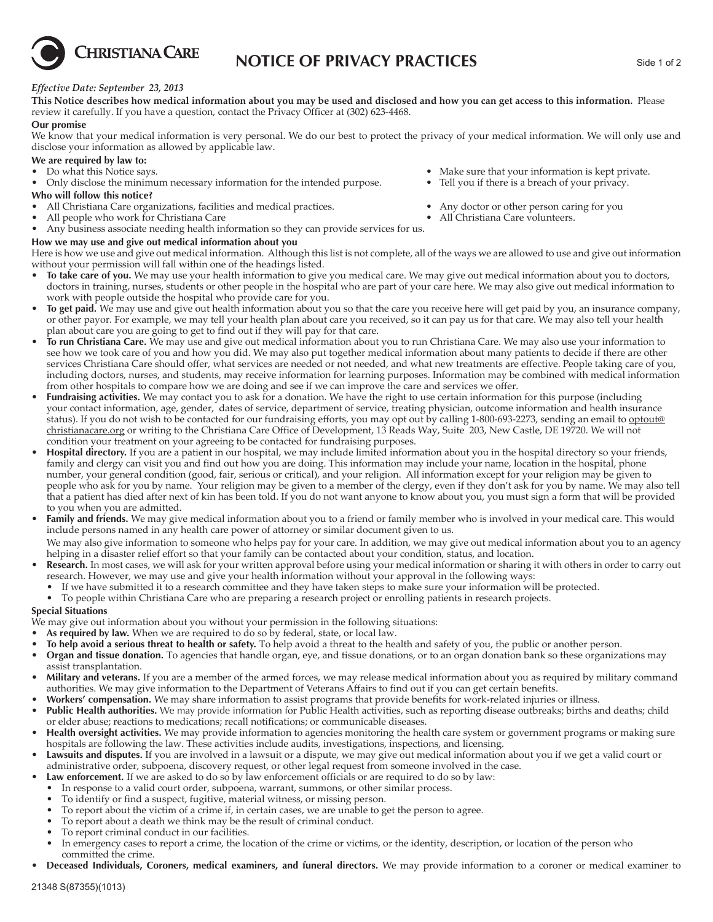

## **NOTICE OF PRIVACY PRACTICES** Side 1 of 2

#### *Effective Date: September 23, 2013*

**This Notice describes how medical information about you may be used and disclosed and how you can get access to this information.** Please review it carefully. If you have a question, contact the Privacy Officer at (302) 623-4468.

#### **Our promise**

We know that your medical information is very personal. We do our best to protect the privacy of your medical information. We will only use and disclose your information as allowed by applicable law.

# **We are required by law to:** <br>• Do what this Notice says.

- 
- Only disclose the minimum necessary information for the intended purpose. Tell you if there is a breach of your privacy.

#### **Who will follow this notice?**

- All Christiana Care organizations, facilities and medical practices. Any doctor or other person caring for you All people who work for Christiana Care **•** All Christiana Care volunteers.
- All people who work for Christiana Care
- Any business associate needing health information so they can provide services for us.

#### **How we may use and give out medical information about you**

Here is how we use and give out medical information. Although this list is not complete, all of the ways we are allowed to use and give out information without your permission will fall within one of the headings listed.

- **To take care of you.** We may use your health information to give you medical care. We may give out medical information about you to doctors, doctors in training, nurses, students or other people in the hospital who are part of your care here. We may also give out medical information to work with people outside the hospital who provide care for you.
- **To get paid.** We may use and give out health information about you so that the care you receive here will get paid by you, an insurance company, or other payor. For example, we may tell your health plan about care you received, so it can pay us for that care. We may also tell your health plan about care you are going to get to find out if they will pay for that care.
- **To run Christiana Care.** We may use and give out medical information about you to run Christiana Care. We may also use your information to see how we took care of you and how you did. We may also put together medical information about many patients to decide if there are other services Christiana Care should offer, what services are needed or not needed, and what new treatments are effective. People taking care of you, including doctors, nurses, and students, may receive information for learning purposes. Information may be combined with medical information from other hospitals to compare how we are doing and see if we can improve the care and services we offer.
- **Fundraising activities.** We may contact you to ask for a donation. We have the right to use certain information for this purpose (including your contact information, age, gender, dates of service, department of service, treating physician, outcome information and health insurance status). If you do not wish to be contacted for our fundraising efforts, you may opt out by calling 1-800-693-2273, sending an email to optout@ christianacare.org or writing to the Christiana Care Office of Development, 13 Reads Way, Suite 203, New Castle, DE 19720. We will not condition your treatment on your agreeing to be contacted for fundraising purposes.
- **Hospital directory.** If you are a patient in our hospital, we may include limited information about you in the hospital directory so your friends, family and clergy can visit you and find out how you are doing. This information may include your name, location in the hospital, phone number, your general condition (good, fair, serious or critical), and your religion. All information except for your religion may be given to people who ask for you by name. Your religion may be given to a member of the clergy, even if they don't ask for you by name. We may also tell that a patient has died after next of kin has been told. If you do not want anyone to know about you, you must sign a form that will be provided to you when you are admitted.
- **Family and friends.** We may give medical information about you to a friend or family member who is involved in your medical care. This would include persons named in any health care power of attorney or similar document given to us.

 We may also give information to someone who helps pay for your care. In addition, we may give out medical information about you to an agency helping in a disaster relief effort so that your family can be contacted about your condition, status, and location.

- **Research.** In most cases, we will ask for your written approval before using your medical information or sharing it with others in order to carry out research. However, we may use and give your health information without your approval in the following ways:
	- If we have submitted it to a research committee and they have taken steps to make sure your information will be protected.
	- To people within Christiana Care who are preparing a research project or enrolling patients in research projects.

#### **Special Situations**

We may give out information about you without your permission in the following situations:

- As required by law. When we are required to do so by federal, state, or local law.
- **To help avoid a serious threat to health or safety.** To help avoid a threat to the health and safety of you, the public or another person.
- **Organ and tissue donation.** To agencies that handle organ, eye, and tissue donations, or to an organ donation bank so these organizations may assist transplantation.
- **Military and veterans.** If you are a member of the armed forces, we may release medical information about you as required by military command authorities. We may give information to the Department of Veterans Affairs to find out if you can get certain benefits.
- **Workers' compensation.** We may share information to assist programs that provide benefits for work-related injuries or illness.
- **Public Health authorities.** We may provide information for Public Health activities, such as reporting disease outbreaks; births and deaths; child or elder abuse; reactions to medications; recall notifications; or communicable diseases.
- **Health oversight activities.** We may provide information to agencies monitoring the health care system or government programs or making sure hospitals are following the law. These activities include audits, investigations, inspections, and licensing.
- **Lawsuits and disputes.** If you are involved in a lawsuit or a dispute, we may give out medical information about you if we get a valid court or administrative order, subpoena, discovery request, or other legal request from someone involved in the case.
- **Law enforcement.** If we are asked to do so by law enforcement officials or are required to do so by law:
- In response to a valid court order, subpoena, warrant, summons, or other similar process.
- To identify or find a suspect, fugitive, material witness, or missing person.
- To report about the victim of a crime if, in certain cases, we are unable to get the person to agree.
- To report about a death we think may be the result of criminal conduct.
- To report criminal conduct in our facilities.
- In emergency cases to report a crime, the location of the crime or victims, or the identity, description, or location of the person who committed the crime.
- **Deceased Individuals, Coroners, medical examiners, and funeral directors.** We may provide information to a coroner or medical examiner to

• Make sure that your information is kept private.